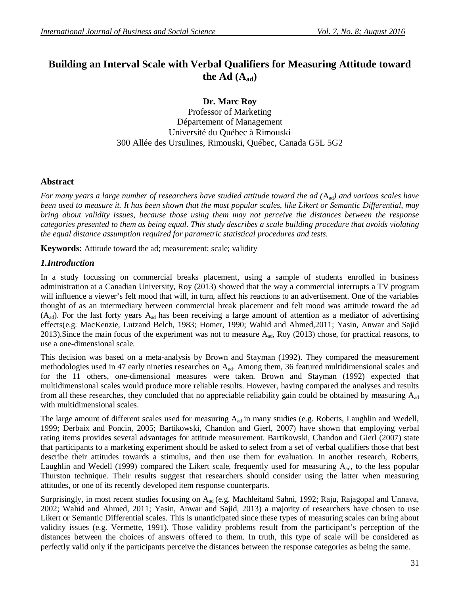# **Building an Interval Scale with Verbal Qualifiers for Measuring Attitude toward** the Ad  $(A_{ad})$

**Dr. Marc Roy**

Professor of Marketing Département of Management Université du Québec à Rimouski 300 Allée des Ursulines, Rimouski, Québec, Canada G5L 5G2

## **Abstract**

*For many years a large number of researchers have studied attitude toward the ad (*Aad*) and various scales have been used to measure it. It has been shown that the most popular scales, like Likert or Semantic Differential, may bring about validity issues, because those using them may not perceive the distances between the response categories presented to them as being equal. This study describes a scale building procedure that avoids violating the equal distance assumption required for parametric statistical procedures and tests.*

**Keywords**: Attitude toward the ad; measurement; scale; validity

## *1.Introduction*

In a study focussing on commercial breaks placement, using a sample of students enrolled in business administration at a Canadian University, Roy (2013) showed that the way a commercial interrupts a TV program will influence a viewer's felt mood that will, in turn, affect his reactions to an advertisement. One of the variables thought of as an intermediary between commercial break placement and felt mood was attitude toward the ad  $(A_{ad})$ . For the last forty years  $A_{ad}$  has been receiving a large amount of attention as a mediator of advertising effects(e.g. MacKenzie, Lutzand Belch, 1983; Homer, 1990; Wahid and Ahmed,2011; Yasin, Anwar and Sajid 2013).Since the main focus of the experiment was not to measure Aad, Roy (2013) chose, for practical reasons, to use a one-dimensional scale.

This decision was based on a meta-analysis by Brown and Stayman (1992). They compared the measurement methodologies used in 47 early nineties researches on A<sub>ad</sub>. Among them, 36 featured multidimensional scales and for the 11 others, one-dimensional measures were taken. Brown and Stayman (1992) expected that multidimensional scales would produce more reliable results. However, having compared the analyses and results from all these researches, they concluded that no appreciable reliability gain could be obtained by measuring  $A_{ad}$ with multidimensional scales.

The large amount of different scales used for measuring  $A_{ad}$  in many studies (e.g. Roberts, Laughlin and Wedell, 1999; Derbaix and Poncin, 2005; Bartikowski, Chandon and Gierl, 2007) have shown that employing verbal rating items provides several advantages for attitude measurement. Bartikowski, Chandon and Gierl (2007) state that participants to a marketing experiment should be asked to select from a set of verbal qualifiers those that best describe their attitudes towards a stimulus, and then use them for evaluation. In another research, Roberts, Laughlin and Wedell (1999) compared the Likert scale, frequently used for measuring A<sub>ad</sub>, to the less popular Thurston technique. Their results suggest that researchers should consider using the latter when measuring attitudes, or one of its recently developed item response counterparts.

Surprisingly, in most recent studies focusing on A<sub>ad</sub> (e.g. Machleitand Sahni, 1992; Raju, Rajagopal and Unnava, 2002; Wahid and Ahmed, 2011; Yasin, Anwar and Sajid, 2013) a majority of researchers have chosen to use Likert or Semantic Differential scales. This is unanticipated since these types of measuring scales can bring about validity issues (e.g. Vermette, 1991). Those validity problems result from the participant's perception of the distances between the choices of answers offered to them. In truth, this type of scale will be considered as perfectly valid only if the participants perceive the distances between the response categories as being the same.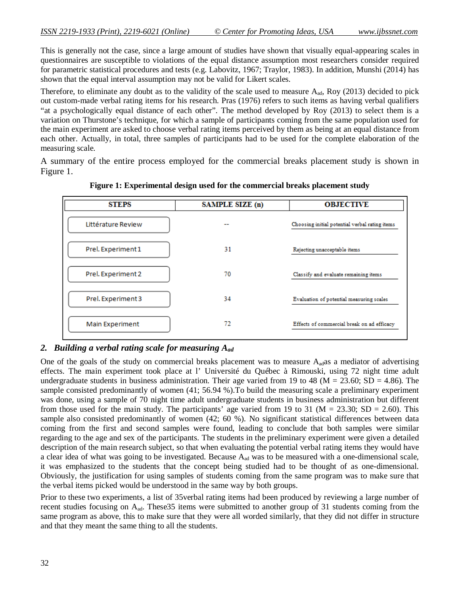This is generally not the case, since a large amount of studies have shown that visually equal-appearing scales in questionnaires are susceptible to violations of the equal distance assumption most researchers consider required for parametric statistical procedures and tests (e.g. Labovitz, 1967; Traylor, 1983). In addition, Munshi (2014) has shown that the equal interval assumption may not be valid for Likert scales.

Therefore, to eliminate any doubt as to the validity of the scale used to measure  $A_{ad}$ , Roy (2013) decided to pick out custom-made verbal rating items for his research. Pras (1976) refers to such items as having verbal qualifiers "at a psychologically equal distance of each other". The method developed by Roy (2013) to select them is a variation on Thurstone's technique, for which a sample of participants coming from the same population used for the main experiment are asked to choose verbal rating items perceived by them as being at an equal distance from each other. Actually, in total, three samples of participants had to be used for the complete elaboration of the measuring scale.

A summary of the entire process employed for the commercial breaks placement study is shown in Figure 1.

| <b>STEPS</b>       | SAMPLE SIZE (n) | <b>OBJECTIVE</b>                               |  |  |
|--------------------|-----------------|------------------------------------------------|--|--|
| Littérature Review |                 | Choosing initial potential verbal rating items |  |  |
| Prel. Experiment 1 | 31              | Rejecting unacceptable items                   |  |  |
| Prel. Experiment 2 | 70              | Classify and evaluate remaining items          |  |  |
| Prel. Experiment 3 | 34              | Evaluation of potential measuring scales       |  |  |
| Main Experiment    | 72              | Effects of commercial break on ad efficacy     |  |  |

**Figure 1: Experimental design used for the commercial breaks placement study**

## *2. Building a verbal rating scale for measuring Aad*

One of the goals of the study on commercial breaks placement was to measure A<sub>ad</sub>as a mediator of advertising effects. The main experiment took place at l' Université du Québec à Rimouski, using 72 night time adult undergraduate students in business administration. Their age varied from 19 to 48 ( $M = 23.60$ ; SD = 4.86). The sample consisted predominantly of women (41; 56.94 %).To build the measuring scale a preliminary experiment was done, using a sample of 70 night time adult undergraduate students in business administration but different from those used for the main study. The participants' age varied from 19 to 31 ( $M = 23.30$ ; SD = 2.60). This sample also consisted predominantly of women (42; 60 %). No significant statistical differences between data coming from the first and second samples were found, leading to conclude that both samples were similar regarding to the age and sex of the participants. The students in the preliminary experiment were given a detailed description of the main research subject, so that when evaluating the potential verbal rating items they would have a clear idea of what was going to be investigated. Because  $A_{ad}$  was to be measured with a one-dimensional scale, it was emphasized to the students that the concept being studied had to be thought of as one-dimensional. Obviously, the justification for using samples of students coming from the same program was to make sure that the verbal items picked would be understood in the same way by both groups.

Prior to these two experiments, a list of 35verbal rating items had been produced by reviewing a large number of recent studies focusing on  $A_{ad}$ . These 35 items were submitted to another group of 31 students coming from the same program as above, this to make sure that they were all worded similarly, that they did not differ in structure and that they meant the same thing to all the students.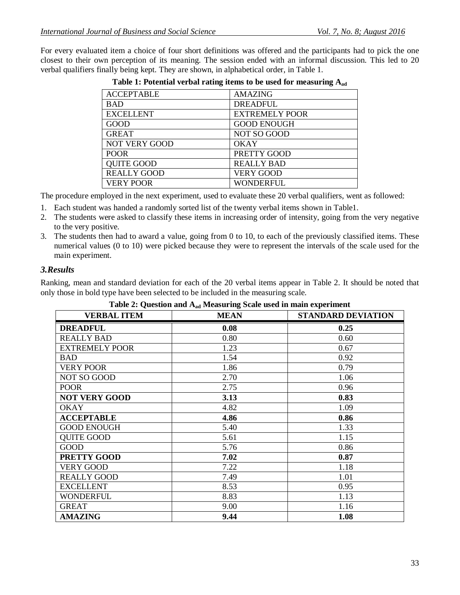For every evaluated item a choice of four short definitions was offered and the participants had to pick the one closest to their own perception of its meaning. The session ended with an informal discussion. This led to 20 verbal qualifiers finally being kept. They are shown, in alphabetical order, in Table 1.

| <b>ACCEPTABLE</b>    | <b>AMAZING</b>        |
|----------------------|-----------------------|
| <b>BAD</b>           | <b>DREADFUL</b>       |
| <b>EXCELLENT</b>     | <b>EXTREMELY POOR</b> |
| GOOD                 | <b>GOOD ENOUGH</b>    |
| <b>GREAT</b>         | <b>NOT SO GOOD</b>    |
| <b>NOT VERY GOOD</b> | OKAY                  |
| <b>POOR</b>          | PRETTY GOOD           |
| <b>QUITE GOOD</b>    | <b>REALLY BAD</b>     |
| <b>REALLY GOOD</b>   | <b>VERY GOOD</b>      |
| <b>VERY POOR</b>     | <b>WONDERFUL</b>      |

|  |  |  |  | Table 1: Potential verbal rating items to be used for measuring $A_{ad}$ |  |
|--|--|--|--|--------------------------------------------------------------------------|--|
|  |  |  |  |                                                                          |  |

The procedure employed in the next experiment, used to evaluate these 20 verbal qualifiers, went as followed:

- 1. Each student was handed a randomly sorted list of the twenty verbal items shown in Table1.
- 2. The students were asked to classify these items in increasing order of intensity, going from the very negative to the very positive.
- 3. The students then had to award a value, going from 0 to 10, to each of the previously classified items. These numerical values (0 to 10) were picked because they were to represent the intervals of the scale used for the main experiment.

#### *3.Results*

Ranking, mean and standard deviation for each of the 20 verbal items appear in Table 2. It should be noted that only those in bold type have been selected to be included in the measuring scale.

| <b>VERBAL ITEM</b>    | $\sim$ 0.010 $\sim$ $\sim$ $\sim$ 0.010 $\sim$ 0.010 $\sim$ 0.010 $\sim$ 0.010 $\sim$ 0.010 $\sim$ 0.010 $\sim$ 0.010 $\sim$ 0.010 $\sim$ 0.010 $\sim$<br><b>MEAN</b> | <b>STANDARD DEVIATION</b> |
|-----------------------|-----------------------------------------------------------------------------------------------------------------------------------------------------------------------|---------------------------|
| <b>DREADFUL</b>       | 0.08                                                                                                                                                                  | 0.25                      |
| <b>REALLY BAD</b>     | 0.80                                                                                                                                                                  | 0.60                      |
| <b>EXTREMELY POOR</b> | 1.23                                                                                                                                                                  | 0.67                      |
| <b>BAD</b>            | 1.54                                                                                                                                                                  | 0.92                      |
| <b>VERY POOR</b>      | 1.86                                                                                                                                                                  | 0.79                      |
| NOT SO GOOD           | 2.70                                                                                                                                                                  | 1.06                      |
| <b>POOR</b>           | 2.75                                                                                                                                                                  | 0.96                      |
| <b>NOT VERY GOOD</b>  | 3.13                                                                                                                                                                  | 0.83                      |
| <b>OKAY</b>           | 4.82                                                                                                                                                                  | 1.09                      |
| <b>ACCEPTABLE</b>     | 4.86                                                                                                                                                                  | 0.86                      |
| <b>GOOD ENOUGH</b>    | 5.40                                                                                                                                                                  | 1.33                      |
| <b>QUITE GOOD</b>     | 5.61                                                                                                                                                                  | 1.15                      |
| <b>GOOD</b>           | 5.76                                                                                                                                                                  | 0.86                      |
| <b>PRETTY GOOD</b>    | 7.02                                                                                                                                                                  | 0.87                      |
| VERY GOOD             | 7.22                                                                                                                                                                  | 1.18                      |
| <b>REALLY GOOD</b>    | 7.49                                                                                                                                                                  | 1.01                      |
| <b>EXCELLENT</b>      | 8.53                                                                                                                                                                  | 0.95                      |
| <b>WONDERFUL</b>      | 8.83                                                                                                                                                                  | 1.13                      |
| <b>GREAT</b>          | 9.00                                                                                                                                                                  | 1.16                      |
| <b>AMAZING</b>        | 9.44                                                                                                                                                                  | 1.08                      |

|  | Table 2: Question and A <sub>ad</sub> Measuring Scale used in main experiment |  |  |  |  |
|--|-------------------------------------------------------------------------------|--|--|--|--|
|--|-------------------------------------------------------------------------------|--|--|--|--|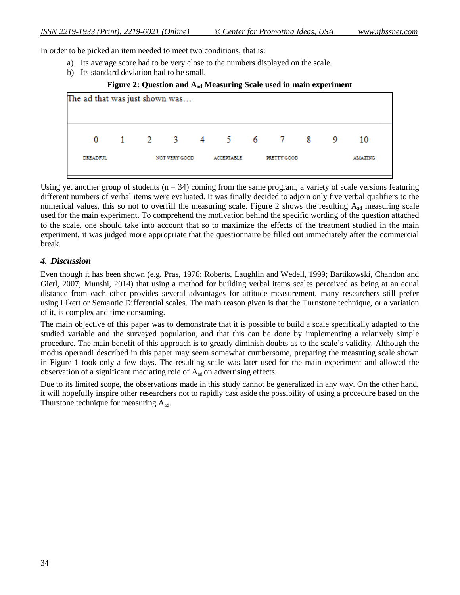In order to be picked an item needed to meet two conditions, that is:

- a) Its average score had to be very close to the numbers displayed on the scale.
- b) Its standard deviation had to be small.

#### **Figure 2: Question and A<sub>ad</sub> Measuring Scale used in main experiment**



Using yet another group of students ( $n = 34$ ) coming from the same program, a variety of scale versions featuring different numbers of verbal items were evaluated. It was finally decided to adjoin only five verbal qualifiers to the numerical values, this so not to overfill the measuring scale. Figure 2 shows the resulting  $A_{ad}$  measuring scale used for the main experiment. To comprehend the motivation behind the specific wording of the question attached to the scale, one should take into account that so to maximize the effects of the treatment studied in the main experiment, it was judged more appropriate that the questionnaire be filled out immediately after the commercial break.

#### *4. Discussion*

Even though it has been shown (e.g. Pras, 1976; Roberts, Laughlin and Wedell, 1999; Bartikowski, Chandon and Gierl, 2007; Munshi, 2014) that using a method for building verbal items scales perceived as being at an equal distance from each other provides several advantages for attitude measurement, many researchers still prefer using Likert or Semantic Differential scales. The main reason given is that the Turnstone technique, or a variation of it, is complex and time consuming.

The main objective of this paper was to demonstrate that it is possible to build a scale specifically adapted to the studied variable and the surveyed population, and that this can be done by implementing a relatively simple procedure. The main benefit of this approach is to greatly diminish doubts as to the scale's validity. Although the modus operandi described in this paper may seem somewhat cumbersome, preparing the measuring scale shown in Figure 1 took only a few days. The resulting scale was later used for the main experiment and allowed the observation of a significant mediating role of  $A_{ad}$  on advertising effects.

Due to its limited scope, the observations made in this study cannot be generalized in any way. On the other hand, it will hopefully inspire other researchers not to rapidly cast aside the possibility of using a procedure based on the Thurstone technique for measuring  $A_{ad}$ .